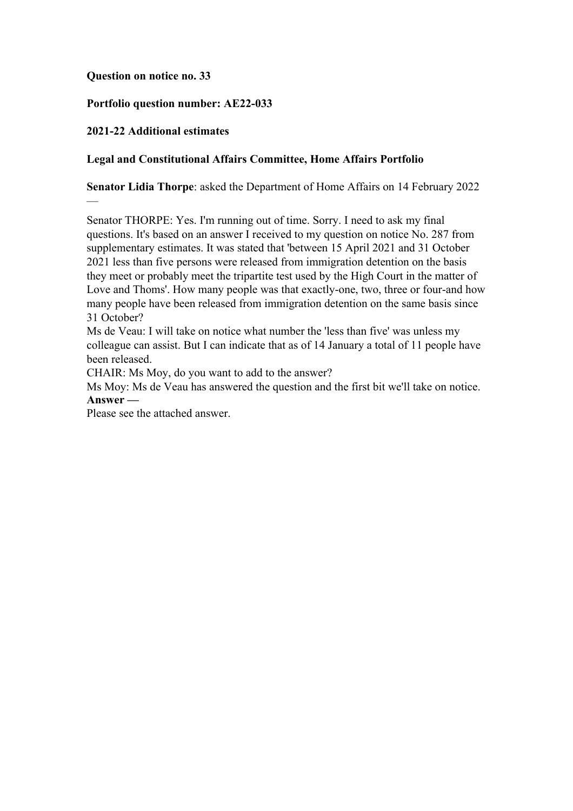## **Question on notice no. 33**

## **Portfolio question number: AE22-033**

## **2021-22 Additional estimates**

—

## **Legal and Constitutional Affairs Committee, Home Affairs Portfolio**

**Senator Lidia Thorpe**: asked the Department of Home Affairs on 14 February 2022

Senator THORPE: Yes. I'm running out of time. Sorry. I need to ask my final questions. It's based on an answer I received to my question on notice No. 287 from supplementary estimates. It was stated that 'between 15 April 2021 and 31 October 2021 less than five persons were released from immigration detention on the basis they meet or probably meet the tripartite test used by the High Court in the matter of Love and Thoms'. How many people was that exactly-one, two, three or four-and how many people have been released from immigration detention on the same basis since 31 October?

Ms de Veau: I will take on notice what number the 'less than five' was unless my colleague can assist. But I can indicate that as of 14 January a total of 11 people have been released.

CHAIR: Ms Moy, do you want to add to the answer?

Ms Moy: Ms de Veau has answered the question and the first bit we'll take on notice. **Answer —**

Please see the attached answer.